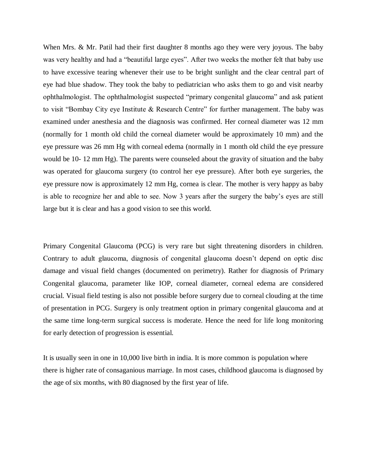When Mrs. & Mr. Patil had their first daughter 8 months ago they were very joyous. The baby was very healthy and had a "beautiful large eyes". After two weeks the mother felt that baby use to have excessive tearing whenever their use to be bright sunlight and the clear central part of eye had blue shadow. They took the baby to pediatrician who asks them to go and visit nearby ophthalmologist. The ophthalmologist suspected "primary congenital glaucoma" and ask patient to visit "Bombay City eye Institute & Research Centre" for further management. The baby was examined under anesthesia and the diagnosis was confirmed. Her corneal diameter was 12 mm (normally for 1 month old child the corneal diameter would be approximately 10 mm) and the eye pressure was 26 mm Hg with corneal edema (normally in 1 month old child the eye pressure would be 10- 12 mm Hg). The parents were counseled about the gravity of situation and the baby was operated for glaucoma surgery (to control her eye pressure). After both eye surgeries, the eye pressure now is approximately 12 mm Hg, cornea is clear. The mother is very happy as baby is able to recognize her and able to see. Now 3 years after the surgery the baby's eyes are still large but it is clear and has a good vision to see this world.

Primary Congenital Glaucoma (PCG) is very rare but sight threatening disorders in children. Contrary to adult glaucoma, diagnosis of congenital glaucoma doesn't depend on optic disc damage and visual field changes (documented on perimetry). Rather for diagnosis of Primary Congenital glaucoma, parameter like IOP, corneal diameter, corneal edema are considered crucial. Visual field testing is also not possible before surgery due to corneal clouding at the time of presentation in PCG. Surgery is only treatment option in primary congenital glaucoma and at the same time long-term surgical success is moderate. Hence the need for life long monitoring for early detection of progression is essential.

It is usually seen in one in 10,000 live birth in india. It is more common is population where there is higher rate of consaganious marriage. In most cases, childhood glaucoma is diagnosed by the age of six months, with 80 diagnosed by the first year of life.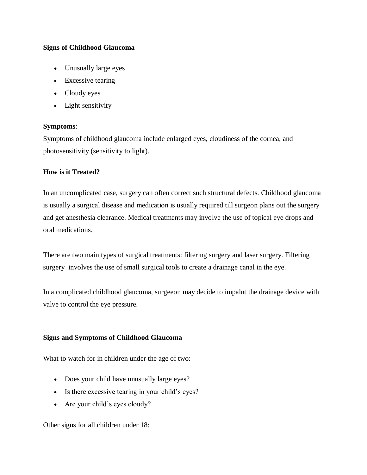## **Signs of Childhood Glaucoma**

- Unusually large eyes
- Excessive tearing
- Cloudy eyes
- Light sensitivity

## **Symptoms**:

Symptoms of childhood glaucoma include enlarged eyes, cloudiness of the cornea, and photosensitivity (sensitivity to light).

## **How is it Treated?**

In an uncomplicated case, surgery can often correct such structural defects. Childhood glaucoma is usually a surgical disease and medication is usually required till surgeon plans out the surgery and get anesthesia clearance. Medical treatments may involve the use of topical eye drops and oral medications.

There are two main types of surgical treatments: filtering surgery and laser surgery. Filtering surgery involves the use of small surgical tools to create a drainage canal in the eye.

In a complicated childhood glaucoma, surgeeon may decide to impalnt the drainage device with valve to control the eye pressure.

#### **Signs and Symptoms of Childhood Glaucoma**

What to watch for in children under the age of two:

- Does your child have unusually large eyes?
- Is there excessive tearing in your child's eyes?
- Are your child's eyes cloudy?

# Other signs for all children under 18: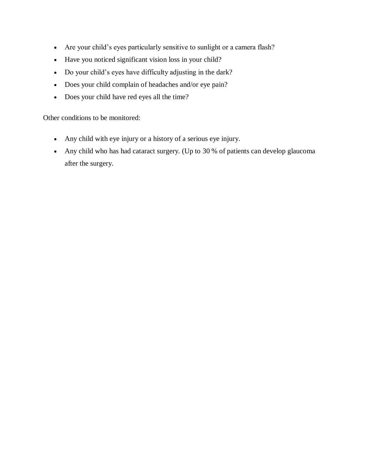- Are your child's eyes particularly sensitive to sunlight or a camera flash?
- Have you noticed significant vision loss in your child?
- Do your child's eyes have difficulty adjusting in the dark?
- Does your child complain of headaches and/or eye pain?
- Does your child have red eyes all the time?

Other conditions to be monitored:

- Any child with eye injury or a history of a serious eye injury.
- Any child who has had cataract surgery. (Up to 30 % of patients can develop glaucoma after the surgery.